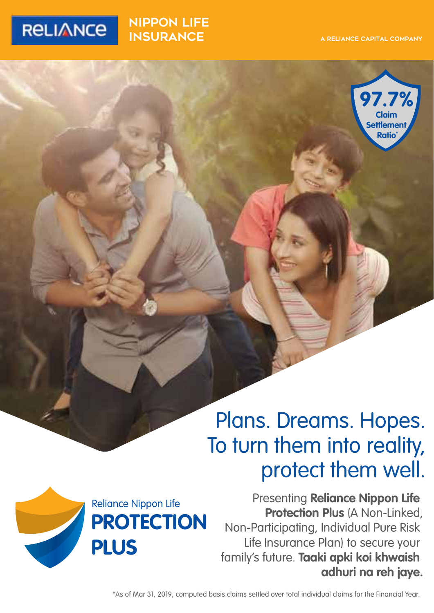

### nippon LIFE **INSURANCE**



# Plans. Dreams. Hopes. To turn them into reality, protect them well.

Presenting **Reliance Nippon Life Protection Plus (A Non-Linked,** Non-Participating, Individual Pure Risk Life Insurance Plan) to secure your family's future. **Taaki apki koi khwaish adhuri na reh jaye.** Reliance Nippon Life



\*As of Mar 31, 2019, computed basis claims settled over total individual claims for the Financial Year.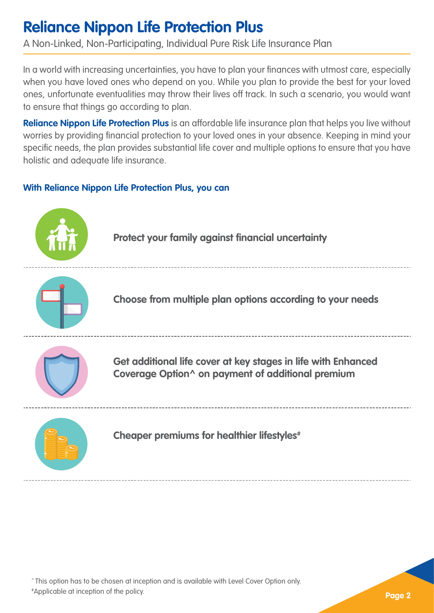## **Reliance Nippon Life Protection Plus**

A Non-Linked, Non-Participating, Individual Pure Risk Life Insurance Plan

In a world with increasing uncertainties, you have to plan your finances with utmost care, especially when you have loved ones who depend on you. While you plan to provide the best for your loved ones, unfortunate eventualities may throw their lives off track. In such a scenario, you would want to ensure that things go according to plan.

**Reliance Nippon Life Protection Plus** is an affordable life insurance plan that helps you live without worries by providing financial protection to your loved ones in your absence. Keeping in mind your specific needs, the plan provides substantial life cover and multiple options to ensure that you have holistic and adequate life insurance.

### **With Reliance Nippon Life Protection Plus, you can**



^ This option has to be chosen at inception and is available with Level Cover Option only.

# Applicable at inception of the policy.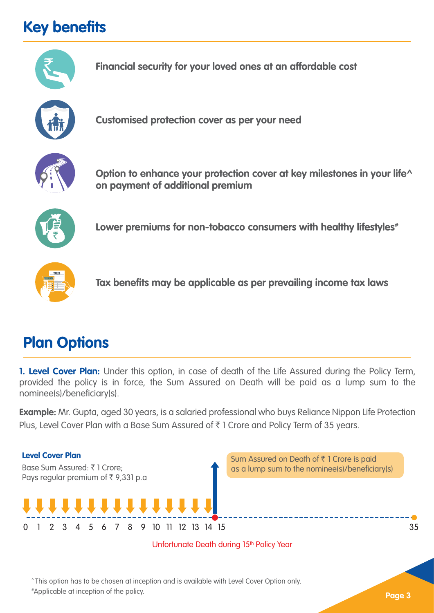# **Key benefits**





^ This option has to be chosen at inception and is available with Level Cover Option only.

# Applicable at inception of the policy.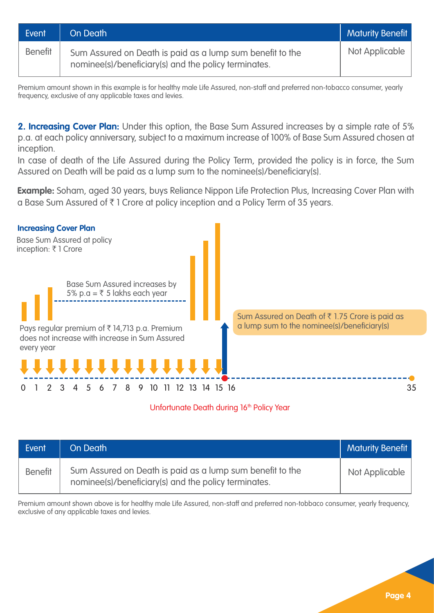| Event          | On Death                                                                                                          | <b>Maturity Benefit</b> |
|----------------|-------------------------------------------------------------------------------------------------------------------|-------------------------|
| <b>Benefit</b> | Sum Assured on Death is paid as a lump sum benefit to the<br>nominee(s)/beneficiary(s) and the policy terminates. | Not Applicable          |

Premium amount shown in this example is for healthy male Life Assured, non-staff and preferred non-tobacco consumer, yearly frequency, exclusive of any applicable taxes and levies.

**2. Increasing Cover Plan:** Under this option, the Base Sum Assured increases by a simple rate of 5% p.a. at each policy anniversary, subject to a maximum increase of 100% of Base Sum Assured chosen at inception.

In case of death of the Life Assured during the Policy Term, provided the policy is in force, the Sum Assured on Death will be paid as a lump sum to the nominee(s)/beneficiary(s).

**Example:** Soham, aged 30 years, buys Reliance Nippon Life Protection Plus, Increasing Cover Plan with a Base Sum Assured of ₹1 Crore at policy inception and a Policy Term of 35 years.



#### Unfortunate Death during 16<sup>th</sup> Policy Year

| Event          | On Death                                                                                                          | Maturity Benefit |
|----------------|-------------------------------------------------------------------------------------------------------------------|------------------|
| <b>Benefit</b> | Sum Assured on Death is paid as a lump sum benefit to the<br>nominee(s)/beneficiary(s) and the policy terminates. | Not Applicable   |

Premium amount shown above is for healthy male Life Assured, non-staff and preferred non-tobbaco consumer, yearly frequency, exclusive of any applicable taxes and levies.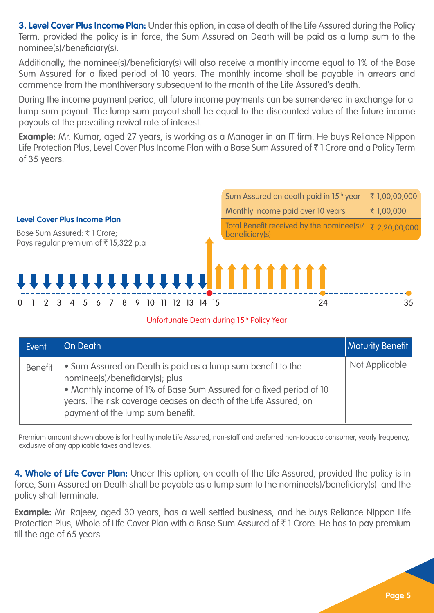**3. Level Cover Plus Income Plan:** Under this option, in case of death of the Life Assured during the Policy Term, provided the policy is in force, the Sum Assured on Death will be paid as a lump sum to the nominee(s)/beneficiary(s).

Additionally, the nominee(s)/beneficiary(s) will also receive a monthly income equal to 1% of the Base Sum Assured for a fixed period of 10 years. The monthly income shall be payable in arrears and commence from the monthiversary subsequent to the month of the Life Assured's death.

During the income payment period, all future income payments can be surrendered in exchange for a lump sum payout. The lump sum payout shall be equal to the discounted value of the future income payouts at the prevailing revival rate of interest.

**Example:** Mr. Kumar, aged 27 years, is working as a Manager in an IT firm. He buys Reliance Nippon Life Protection Plus, Level Cover Plus Income Plan with a Base Sum Assured of ₹1 Crore and a Policy Term of 35 years.

|                                                                        | Sum Assured on death paid in 15 <sup>th</sup> year          | ₹1,00,00,000  |
|------------------------------------------------------------------------|-------------------------------------------------------------|---------------|
|                                                                        | Monthly Income paid over 10 years                           | ₹1,00,000     |
| <b>Level Cover Plus Income Plan</b><br>Base Sum Assured: ₹1 Crore;     | Total Benefit received by the nominee(s)/<br>beneficiary(s) | ₹ 2,20,00,000 |
| Pays regular premium of ₹15,322 p.a<br><b>TTTTTTTTTTTTTT  [       </b> |                                                             |               |
| 10                                                                     | 24                                                          | 35            |

#### Unfortunate Death during 15<sup>th</sup> Policy Year

| Event          | On Death                                                                                                                                                                                                                                                                      | <b>Maturity Benefit</b> |
|----------------|-------------------------------------------------------------------------------------------------------------------------------------------------------------------------------------------------------------------------------------------------------------------------------|-------------------------|
| <b>Benefit</b> | • Sum Assured on Death is paid as a lump sum benefit to the<br>nominee(s)/beneficiary(s); plus<br>. Monthly income of 1% of Base Sum Assured for a fixed period of 10<br>years. The risk coverage ceases on death of the Life Assured, on<br>payment of the lump sum benefit. | Not Applicable          |

Premium amount shown above is for healthy male Life Assured, non-staff and preferred non-tobacco consumer, yearly frequency, exclusive of any applicable taxes and levies.

**4. Whole of Life Cover Plan:** Under this option, on death of the Life Assured, provided the policy is in force, Sum Assured on Death shall be payable as a lump sum to the nominee(s)/beneficiary(s) and the policy shall terminate.

**Example:** Mr. Rajeev, aged 30 years, has a well settled business, and he buys Reliance Nippon Life Protection Plus, Whole of Life Cover Plan with a Base Sum Assured of ₹1 Crore. He has to pay premium till the age of 65 years.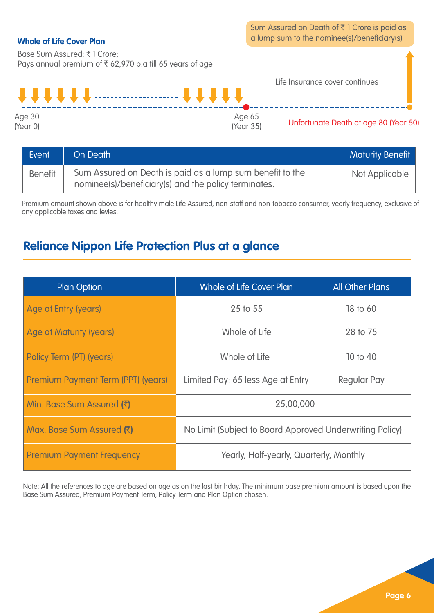Sum Assured on Death of  $\bar{\tau}$  1 Crore is paid as a lump sum to the nominee(s)/beneficiary(s)

#### **Whole of Life Cover Plan**

Base Sum Assured: ₹1 Crore: Pays annual premium of  $\bar{\tau}$  62,970 p.a till 65 years of age



| Event          | On Death                                                                                                          | <b>Maturity Benefit</b> |
|----------------|-------------------------------------------------------------------------------------------------------------------|-------------------------|
| <b>Benefit</b> | Sum Assured on Death is paid as a lump sum benefit to the<br>nominee(s)/beneficiary(s) and the policy terminates. | Not Applicable          |

Premium amount shown above is for healthy male Life Assured, non-staff and non-tobacco consumer, yearly frequency, exclusive of any applicable taxes and levies.

### **Reliance Nippon Life Protection Plus at a glance**

| <b>Plan Option</b>                 | Whole of Life Cover Plan                                 | <b>All Other Plans</b> |  |
|------------------------------------|----------------------------------------------------------|------------------------|--|
| Age at Entry (years)               | 25 to 55                                                 | 18 to 60               |  |
| Age at Maturity (years)            | Whole of Life                                            | 28 to 75               |  |
| Policy Term (PT) (years)           | Whole of Life                                            | 10 to 40               |  |
| Premium Payment Term (PPT) (years) | Limited Pay: 65 less Age at Entry                        | Regular Pay            |  |
| Min. Base Sum Assured (₹)          | 25,00,000                                                |                        |  |
| Max. Base Sum Assured (₹)          | No Limit (Subject to Board Approved Underwriting Policy) |                        |  |
| <b>Premium Payment Frequency</b>   | Yearly, Half-yearly, Quarterly, Monthly                  |                        |  |

Note: All the references to age are based on age as on the last birthday. The minimum base premium amount is based upon the Base Sum Assured, Premium Payment Term, Policy Term and Plan Option chosen.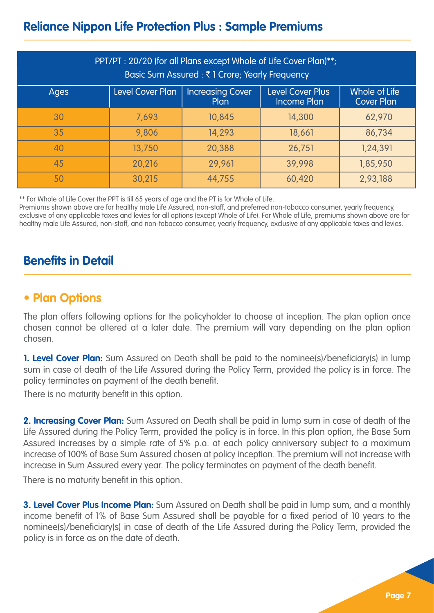### **Reliance Nippon Life Protection Plus : Sample Premiums**

| PPT/PT: 20/20 (for all Plans except Whole of Life Cover Plan)**;<br>Basic Sum Assured : ₹1 Crore; Yearly Frequency                                        |        |        |        |          |  |
|-----------------------------------------------------------------------------------------------------------------------------------------------------------|--------|--------|--------|----------|--|
| <b>Level Cover Plus</b><br>Whole of Life<br>Level Cover Plan<br><b>Increasing Cover</b><br>Ages<br><b>Income Plan</b><br><b>Cover Plan</b><br><b>Plan</b> |        |        |        |          |  |
| 30                                                                                                                                                        | 7.693  | 10,845 | 14,300 | 62,970   |  |
| 35                                                                                                                                                        | 9.806  | 14.293 | 18,661 | 86,734   |  |
| 40                                                                                                                                                        | 13,750 | 20,388 | 26.751 | 1,24,391 |  |
| 45                                                                                                                                                        | 20.216 | 29,961 | 39.998 | 1,85,950 |  |
| 50                                                                                                                                                        | 30.215 | 44.755 | 60.420 | 2,93,188 |  |

\*\* For Whole of Life Cover the PPT is till 65 years of age and the PT is for Whole of Life.

Premiums shown above are for healthy male Life Assured, non-staff, and preferred non-tobacco consumer, yearly frequency, exclusive of any applicable taxes and levies for all options (except Whole of Life). For Whole of Life, premiums shown above are for healthy male Life Assured, non-staff, and non-tobacco consumer, yearly frequency, exclusive of any applicable taxes and levies.

### **Benefits in Detail**

### **• Plan Options**

The plan offers following options for the policyholder to choose at inception. The plan option once chosen cannot be altered at a later date. The premium will vary depending on the plan option chosen.

**1. Level Cover Plan:** Sum Assured on Death shall be paid to the nominee(s)/beneficiary(s) in lump sum in case of death of the Life Assured during the Policy Term, provided the policy is in force. The policy terminates on payment of the death benefit.

There is no maturity benefit in this option.

**2. Increasing Cover Plan:** Sum Assured on Death shall be paid in lump sum in case of death of the Life Assured during the Policy Term, provided the policy is in force. In this plan option, the Base Sum Assured increases by a simple rate of 5% p.a. at each policy anniversary subject to a maximum increase of 100% of Base Sum Assured chosen at policy inception. The premium will not increase with increase in Sum Assured every year. The policy terminates on payment of the death benefit.

There is no maturity benefit in this option.

**3. Level Cover Plus Income Plan:** Sum Assured on Death shall be paid in lump sum, and a monthly income benefit of 1% of Base Sum Assured shall be payable for a fixed period of 10 years to the nominee(s)/beneficiary(s) in case of death of the Life Assured during the Policy Term, provided the policy is in force as on the date of death.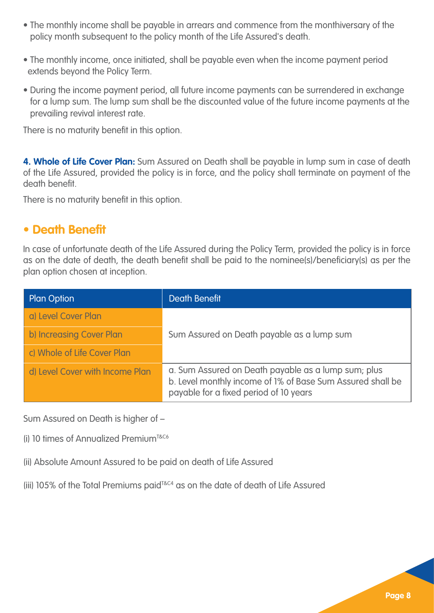- The monthly income shall be payable in arrears and commence from the monthiversary of the policy month subsequent to the policy month of the Life Assured's death.
- The monthly income, once initiated, shall be payable even when the income payment period extends beyond the Policy Term.
- During the income payment period, all future income payments can be surrendered in exchange for a lump sum. The lump sum shall be the discounted value of the future income payments at the prevailing revival interest rate.

There is no maturity benefit in this option.

**4. Whole of Life Cover Plan:** Sum Assured on Death shall be payable in lump sum in case of death of the Life Assured, provided the policy is in force, and the policy shall terminate on payment of the death benefit.

There is no maturity benefit in this option.

### **• Death Benefit**

In case of unfortunate death of the Life Assured during the Policy Term, provided the policy is in force as on the date of death, the death benefit shall be paid to the nominee(s)/beneficiary(s) as per the plan option chosen at inception.

| <b>Plan Option</b>              | Death Benefit                                                                                                                                               |  |
|---------------------------------|-------------------------------------------------------------------------------------------------------------------------------------------------------------|--|
| a) Level Cover Plan             |                                                                                                                                                             |  |
| b) Increasing Cover Plan        | Sum Assured on Death payable as a lump sum                                                                                                                  |  |
| c) Whole of Life Cover Plan     |                                                                                                                                                             |  |
| d) Level Cover with Income Plan | a. Sum Assured on Death payable as a lump sum; plus<br>b. Level monthly income of 1% of Base Sum Assured shall be<br>payable for a fixed period of 10 years |  |

Sum Assured on Death is higher of –

(i) 10 times of Annualized PremiumT&C6

(ii) Absolute Amount Assured to be paid on death of Life Assured

(iii) 105% of the Total Premiums paidT&C4 as on the date of death of Life Assured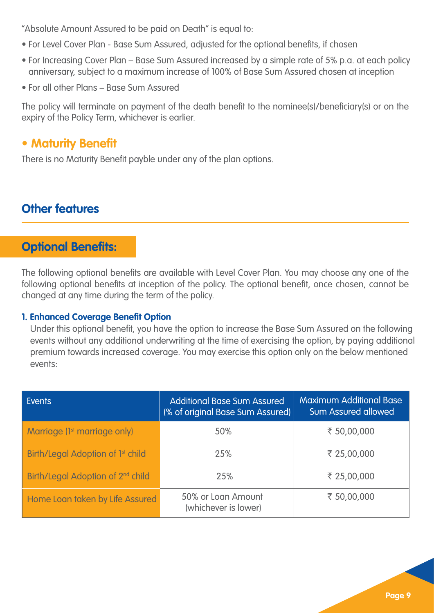"Absolute Amount Assured to be paid on Death" is equal to:

- For Level Cover Plan Base Sum Assured, adjusted for the optional benefits, if chosen
- For Increasing Cover Plan Base Sum Assured increased by a simple rate of 5% p.a. at each policy anniversary, subject to a maximum increase of 100% of Base Sum Assured chosen at inception
- For all other Plans Base Sum Assured

The policy will terminate on payment of the death benefit to the nominee(s)/beneficiary(s) or on the expiry of the Policy Term, whichever is earlier.

### **• Maturity Benefit**

There is no Maturity Benefit payble under any of the plan options.

### **Other features**

### **Optional Benefits:**

The following optional benefits are available with Level Cover Plan. You may choose any one of the following optional benefits at inception of the policy. The optional benefit, once chosen, cannot be changed at any time during the term of the policy.

### **1. Enhanced Coverage Benefit Option**

Under this optional benefit, you have the option to increase the Base Sum Assured on the following events without any additional underwriting at the time of exercising the option, by paying additional premium towards increased coverage. You may exercise this option only on the below mentioned events:

| <b>Fvents</b>                                 | <b>Additional Base Sum Assured</b><br>(% of original Base Sum Assured) | <b>Maximum Additional Base</b><br>Sum Assured allowed |  |
|-----------------------------------------------|------------------------------------------------------------------------|-------------------------------------------------------|--|
| Marriage (1 <sup>st</sup> marriage only)      | 50%                                                                    | ₹ 50,00,000                                           |  |
| Birth/Legal Adoption of 1 <sup>st</sup> child | 25%                                                                    | ₹ 25,00,000                                           |  |
| Birth/Legal Adoption of 2 <sup>nd</sup> child | 25%                                                                    | ₹ 25,00,000                                           |  |
| Home Loan taken by Life Assured               | 50% or Loan Amount<br>(whichever is lower)                             | ₹ 50.00.000                                           |  |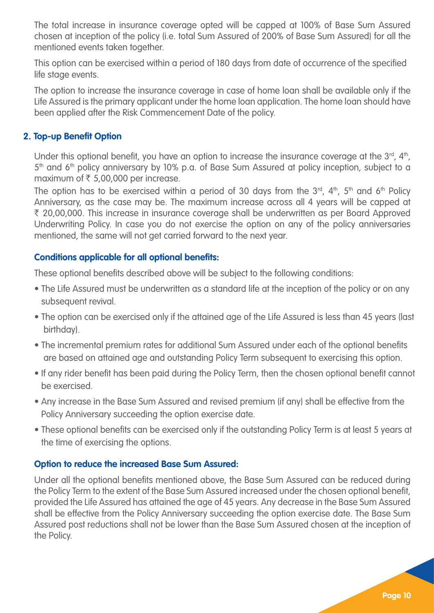The total increase in insurance coverage opted will be capped at 100% of Base Sum Assured chosen at inception of the policy (i.e. total Sum Assured of 200% of Base Sum Assured) for all the mentioned events taken together.

This option can be exercised within a period of 180 days from date of occurrence of the specified life stage events.

The option to increase the insurance coverage in case of home loan shall be available only if the Life Assured is the primary applicant under the home loan application. The home loan should have been applied after the Risk Commencement Date of the policy.

#### **2. Top-up Benefit Option**

Under this optional benefit, you have an option to increase the insurance coverage at the  $3^{rd}$ ,  $4^{th}$ ,  $5<sup>th</sup>$  and  $6<sup>th</sup>$  policy anniversary by 10% p.a. of Base Sum Assured at policy inception, subject to a maximum of  $\bar{\tau}$  5,00,000 per increase.

The option has to be exercised within a period of 30 days from the  $3<sup>rd</sup>$ ,  $4<sup>th</sup>$ ,  $5<sup>th</sup>$  and  $6<sup>th</sup>$  Policy Anniversary, as the case may be. The maximum increase across all 4 years will be capped at ` 20,00,000. This increase in insurance coverage shall be underwritten as per Board Approved Underwriting Policy. In case you do not exercise the option on any of the policy anniversaries mentioned, the same will not get carried forward to the next year.

#### **Conditions applicable for all optional benefits:**

These optional benefits described above will be subject to the following conditions:

- The Life Assured must be underwritten as a standard life at the inception of the policy or on any subsequent revival.
- The option can be exercised only if the attained age of the Life Assured is less than 45 years (last birthday).
- The incremental premium rates for additional Sum Assured under each of the optional benefits are based on attained age and outstanding Policy Term subsequent to exercising this option.
- If any rider benefit has been paid during the Policy Term, then the chosen optional benefit cannot be exercised.
- Any increase in the Base Sum Assured and revised premium (if any) shall be effective from the Policy Anniversary succeeding the option exercise date.
- These optional benefits can be exercised only if the outstanding Policy Term is at least 5 years at the time of exercising the options.

#### **Option to reduce the increased Base Sum Assured:**

Under all the optional benefits mentioned above, the Base Sum Assured can be reduced during the Policy Term to the extent of the Base Sum Assured increased under the chosen optional benefit, provided the Life Assured has attained the age of 45 years. Any decrease in the Base Sum Assured shall be effective from the Policy Anniversary succeeding the option exercise date. The Base Sum Assured post reductions shall not be lower than the Base Sum Assured chosen at the inception of the Policy.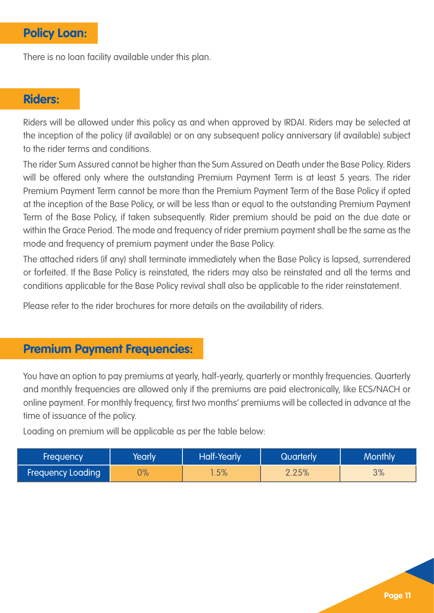### **Policy Loan:**

There is no loan facility available under this plan.

### **Riders:**

Riders will be allowed under this policy as and when approved by IRDAI. Riders may be selected at the inception of the policy (if available) or on any subsequent policy anniversary (if available) subject to the rider terms and conditions.

The rider Sum Assured cannot be higher than the Sum Assured on Death under the Base Policy. Riders will be offered only where the outstanding Premium Payment Term is at least 5 years. The rider Premium Payment Term cannot be more than the Premium Payment Term of the Base Policy if opted at the inception of the Base Policy, or will be less than or equal to the outstanding Premium Payment Term of the Base Policy, if taken subsequently. Rider premium should be paid on the due date or within the Grace Period. The mode and frequency of rider premium payment shall be the same as the mode and frequency of premium payment under the Base Policy.

The attached riders (if any) shall terminate immediately when the Base Policy is lapsed, surrendered or forfeited. If the Base Policy is reinstated, the riders may also be reinstated and all the terms and conditions applicable for the Base Policy revival shall also be applicable to the rider reinstatement.

Please refer to the rider brochures for more details on the availability of riders.

### **Premium Payment Frequencies:**

You have an option to pay premiums at yearly, half-yearly, quarterly or monthly frequencies. Quarterly and monthly frequencies are allowed only if the premiums are paid electronically, like ECS/NACH or online payment. For monthly frequency, first two months' premiums will be collected in advance at the time of issuance of the policy.

Loading on premium will be applicable as per the table below:

| Frequency                | rearlv | <b>Half-Yearly</b> | Quarterly | <b>Monthly</b> |
|--------------------------|--------|--------------------|-----------|----------------|
| <b>Frequency Loading</b> | 70/    | $1.5\%$            | 2.25%     | 3%             |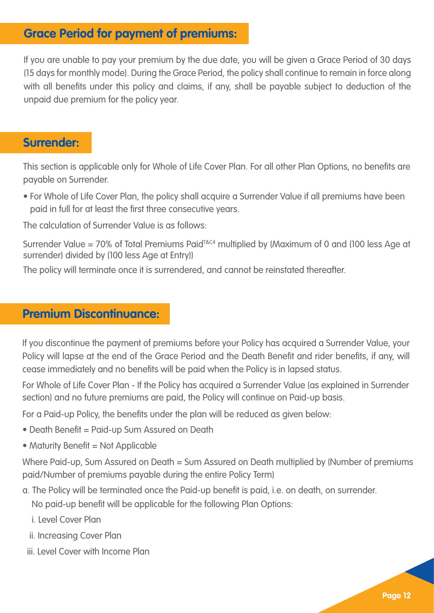### **Grace Period for payment of premiums:**

If you are unable to pay your premium by the due date, you will be given a Grace Period of 30 days (15 days for monthly mode). During the Grace Period, the policy shall continue to remain in force along with all benefits under this policy and claims, if any, shall be payable subject to deduction of the unpaid due premium for the policy year.

### **Surrender:**

This section is applicable only for Whole of Life Cover Plan. For all other Plan Options, no benefits are payable on Surrender.

• For Whole of Life Cover Plan, the policy shall acquire a Surrender Value if all premiums have been paid in full for at least the first three consecutive years.

The calculation of Surrender Value is as follows:

Surrender Value = 70% of Total Premiums Paid<sup>T&C4</sup> multiplied by (Maximum of 0 and (100 less Age at surrender) divided by (100 less Age at Entry))

The policy will terminate once it is surrendered, and cannot be reinstated thereafter.

### **Premium Discontinuance:**

If you discontinue the payment of premiums before your Policy has acquired a Surrender Value, your Policy will lapse at the end of the Grace Period and the Death Benefit and rider benefits, if any, will cease immediately and no benefits will be paid when the Policy is in lapsed status.

For Whole of Life Cover Plan - If the Policy has acquired a Surrender Value (as explained in Surrender section) and no future premiums are paid, the Policy will continue on Paid-up basis.

For a Paid-up Policy, the benefits under the plan will be reduced as given below:

- Death Benefit = Paid-up Sum Assured on Death
- Maturity Benefit = Not Applicable

Where Paid-up, Sum Assured on Death = Sum Assured on Death multiplied by (Number of premiums paid/Number of premiums payable during the entire Policy Term)

a. The Policy will be terminated once the Paid-up benefit is paid, i.e. on death, on surrender.

No paid-up benefit will be applicable for the following Plan Options:

- i. Level Cover Plan
- ii. Increasing Cover Plan
- iii. Level Cover with Income Plan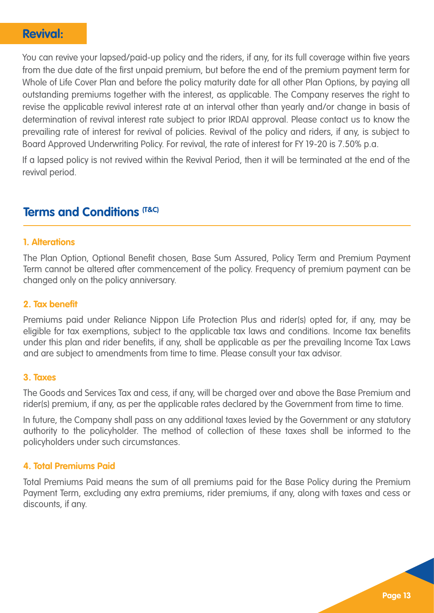### **Revival:**

You can revive your lapsed/paid-up policy and the riders, if any, for its full coverage within five years from the due date of the first unpaid premium, but before the end of the premium payment term for Whole of Life Cover Plan and before the policy maturity date for all other Plan Options, by paying all outstanding premiums together with the interest, as applicable. The Company reserves the right to revise the applicable revival interest rate at an interval other than yearly and/or change in basis of determination of revival interest rate subject to prior IRDAI approval. Please contact us to know the prevailing rate of interest for revival of policies. Revival of the policy and riders, if any, is subject to Board Approved Underwriting Policy. For revival, the rate of interest for FY 19-20 is 7.50% p.a.

If a lapsed policy is not revived within the Revival Period, then it will be terminated at the end of the revival period.

### **Terms and Conditions (T&C)**

#### **1. Alterations**

The Plan Option, Optional Benefit chosen, Base Sum Assured, Policy Term and Premium Payment Term cannot be altered after commencement of the policy. Frequency of premium payment can be changed only on the policy anniversary.

#### **2. Tax benefit**

Premiums paid under Reliance Nippon Life Protection Plus and rider(s) opted for, if any, may be eligible for tax exemptions, subject to the applicable tax laws and conditions. Income tax benefits under this plan and rider benefits, if any, shall be applicable as per the prevailing Income Tax Laws and are subject to amendments from time to time. Please consult your tax advisor.

#### **3. Taxes**

The Goods and Services Tax and cess, if any, will be charged over and above the Base Premium and rider(s) premium, if any, as per the applicable rates declared by the Government from time to time.

In future, the Company shall pass on any additional taxes levied by the Government or any statutory authority to the policyholder. The method of collection of these taxes shall be informed to the policyholders under such circumstances.

#### **4. Total Premiums Paid**

Total Premiums Paid means the sum of all premiums paid for the Base Policy during the Premium Payment Term, excluding any extra premiums, rider premiums, if any, along with taxes and cess or discounts, if any.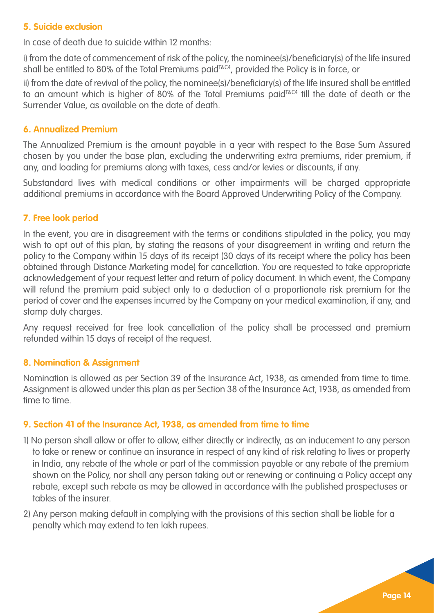#### **5. Suicide exclusion**

In case of death due to suicide within 12 months:

i) from the date of commencement of risk of the policy, the nominee(s)/beneficiary(s) of the life insured shall be entitled to 80% of the Total Premiums paid<sup>T&C4</sup>, provided the Policy is in force, or

ii) from the date of revival of the policy, the nominee(s)/beneficiary(s) of the life insured shall be entitled to an amount which is higher of 80% of the Total Premiums paid<sup>T&C4</sup> till the date of death or the Surrender Value, as available on the date of death.

#### **6. Annualized Premium**

The Annualized Premium is the amount payable in a year with respect to the Base Sum Assured chosen by you under the base plan, excluding the underwriting extra premiums, rider premium, if any, and loading for premiums along with taxes, cess and/or levies or discounts, if any.

Substandard lives with medical conditions or other impairments will be charged appropriate additional premiums in accordance with the Board Approved Underwriting Policy of the Company.

#### **7. Free look period**

In the event, you are in disagreement with the terms or conditions stipulated in the policy, you may wish to opt out of this plan, by stating the reasons of your disagreement in writing and return the policy to the Company within 15 days of its receipt (30 days of its receipt where the policy has been obtained through Distance Marketing mode) for cancellation. You are requested to take appropriate acknowledgement of your request letter and return of policy document. In which event, the Company will refund the premium paid subject only to a deduction of a proportionate risk premium for the period of cover and the expenses incurred by the Company on your medical examination, if any, and stamp duty charges.

Any request received for free look cancellation of the policy shall be processed and premium refunded within 15 days of receipt of the request.

#### **8. Nomination & Assignment**

Nomination is allowed as per Section 39 of the Insurance Act, 1938, as amended from time to time. Assignment is allowed under this plan as per Section 38 of the Insurance Act, 1938, as amended from time to time.

#### **9. Section 41 of the Insurance Act, 1938, as amended from time to time**

- 1) No person shall allow or offer to allow, either directly or indirectly, as an inducement to any person to take or renew or continue an insurance in respect of any kind of risk relating to lives or property in India, any rebate of the whole or part of the commission payable or any rebate of the premium shown on the Policy, nor shall any person taking out or renewing or continuing a Policy accept any rebate, except such rebate as may be allowed in accordance with the published prospectuses or tables of the insurer.
- 2) Any person making default in complying with the provisions of this section shall be liable for a penalty which may extend to ten lakh rupees.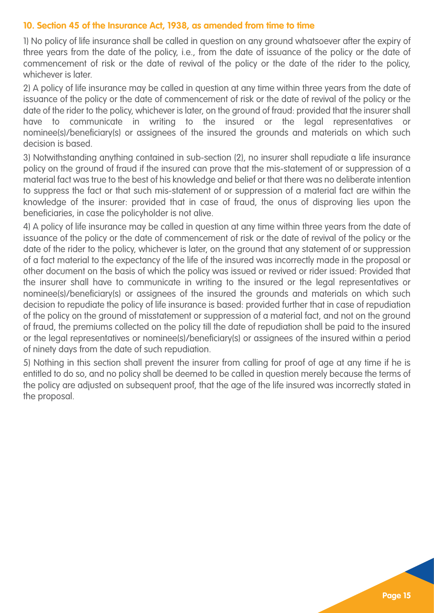#### **10. Section 45 of the Insurance Act, 1938, as amended from time to time**

1) No policy of life insurance shall be called in question on any ground whatsoever after the expiry of three years from the date of the policy, i.e., from the date of issuance of the policy or the date of commencement of risk or the date of revival of the policy or the date of the rider to the policy, whichever is later.

2) A policy of life insurance may be called in question at any time within three years from the date of issuance of the policy or the date of commencement of risk or the date of revival of the policy or the date of the rider to the policy, whichever is later, on the ground of fraud: provided that the insurer shall have to communicate in writing to the insured or the legal representatives or nominee(s)/beneficiary(s) or assignees of the insured the grounds and materials on which such decision is based.

3) Notwithstanding anything contained in sub-section (2), no insurer shall repudiate a life insurance policy on the ground of fraud if the insured can prove that the mis-statement of or suppression of a material fact was true to the best of his knowledge and belief or that there was no deliberate intention to suppress the fact or that such mis-statement of or suppression of a material fact are within the knowledge of the insurer: provided that in case of fraud, the onus of disproving lies upon the beneficiaries, in case the policyholder is not alive.

4) A policy of life insurance may be called in question at any time within three years from the date of issuance of the policy or the date of commencement of risk or the date of revival of the policy or the date of the rider to the policy, whichever is later, on the ground that any statement of or suppression of a fact material to the expectancy of the life of the insured was incorrectly made in the proposal or other document on the basis of which the policy was issued or revived or rider issued: Provided that the insurer shall have to communicate in writing to the insured or the legal representatives or nominee(s)/beneficiary(s) or assignees of the insured the grounds and materials on which such decision to repudiate the policy of life insurance is based: provided further that in case of repudiation of the policy on the ground of misstatement or suppression of a material fact, and not on the ground of fraud, the premiums collected on the policy till the date of repudiation shall be paid to the insured or the legal representatives or nominee(s)/beneficiary(s) or assignees of the insured within a period of ninety days from the date of such repudiation.

5) Nothing in this section shall prevent the insurer from calling for proof of age at any time if he is entitled to do so, and no policy shall be deemed to be called in question merely because the terms of the policy are adjusted on subsequent proof, that the age of the life insured was incorrectly stated in the proposal.